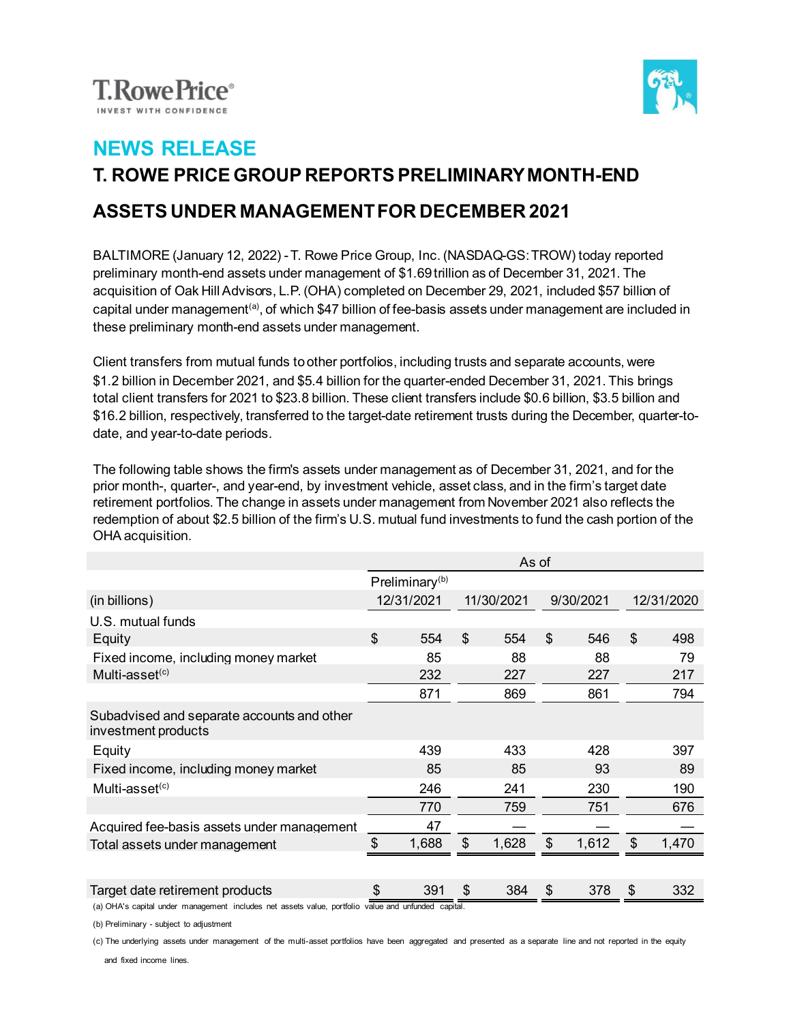



## **NEWS RELEASE T. ROWE PRICE GROUP REPORTS PRELIMINARY MONTH-END ASSETS UNDER MANAGEMENT FOR DECEMBER 2021**

BALTIMORE (January 12, 2022) -T. Rowe Price Group, Inc. (NASDAQ-GS: TROW) today reported preliminary month-end assets under management of \$1.69 trillion as of December 31, 2021. The acquisition of Oak Hill Advisors, L.P. (OHA) completed on December 29, 2021, included \$57 billion of capital under management<sup>(a)</sup>, of which \$47 billion of fee-basis assets under management are included in these preliminary month-end assets under management.

Client transfers from mutual funds to other portfolios, including trusts and separate accounts, were \$1.2 billion in December 2021, and \$5.4 billion for the quarter-ended December 31, 2021. This brings total client transfers for 2021 to \$23.8 billion. These client transfers include \$0.6 billion, \$3.5 billion and \$16.2 billion, respectively, transferred to the target-date retirement trusts during the December, quarter-todate, and year-to-date periods.

The following table shows the firm's assets under management as of December 31, 2021, and for the prior month-, quarter-, and year-end, by investment vehicle, asset class, and in the firm's target date retirement portfolios. The change in assets under management from November 2021 also reflects the redemption of about \$2.5 billion of the firm's U.S. mutual fund investments to fund the cash portion of the OHA acquisition.

|                                                                   | As of                      |       |            |       |           |       |               |       |
|-------------------------------------------------------------------|----------------------------|-------|------------|-------|-----------|-------|---------------|-------|
|                                                                   | Preliminary <sup>(b)</sup> |       |            |       |           |       |               |       |
| (in billions)                                                     | 12/31/2021                 |       | 11/30/2021 |       | 9/30/2021 |       | 12/31/2020    |       |
| U.S. mutual funds                                                 |                            |       |            |       |           |       |               |       |
| Equity                                                            | \$                         | 554   | \$         | 554   | \$        | 546   | \$            | 498   |
| Fixed income, including money market                              |                            | 85    |            | 88    |           | 88    |               | 79    |
| Multi-asset $(c)$                                                 |                            | 232   |            | 227   |           | 227   |               | 217   |
|                                                                   |                            | 871   |            | 869   |           | 861   |               | 794   |
| Subadvised and separate accounts and other<br>investment products |                            |       |            |       |           |       |               |       |
| Equity                                                            |                            | 439   |            | 433   |           | 428   |               | 397   |
| Fixed income, including money market                              |                            | 85    |            | 85    |           | 93    |               | 89    |
| Multi-asset $(c)$                                                 |                            | 246   |            | 241   |           | 230   |               | 190   |
|                                                                   |                            | 770   |            | 759   |           | 751   |               | 676   |
| Acquired fee-basis assets under management                        |                            | 47    |            |       |           |       |               |       |
| Total assets under management                                     | \$                         | 1,688 | \$         | 1,628 | \$        | 1,612 | $\mathcal{S}$ | 1,470 |
|                                                                   |                            |       |            |       |           |       |               |       |
| Target date retirement products                                   | \$                         | 391   | \$         | 384   | \$        | 378   | \$            | 332   |

(a) OHA's capital under management includes net assets value, portfolio value and unfunded capital.

(b) Preliminary - subject to adjustment

(c) The underlying assets under management of the multi-asset portfolios have been aggregated and presented as a separate line and not reported in the equity

and fixed income lines.